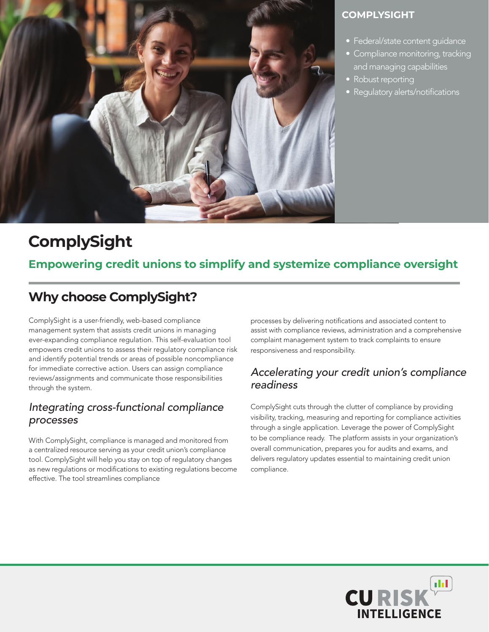

#### **COMPLYSIGHT**

- Federal/state content guidance
- Compliance monitoring, tracking and managing capabilities
- Robust reporting
- Regulatory alerts/notifications

# **ComplySight**

### **Empowering credit unions to simplify and systemize compliance oversight**

# **Why choose ComplySight?**

ComplySight is a user-friendly, web-based compliance management system that assists credit unions in managing ever-expanding compliance regulation. This self-evaluation tool empowers credit unions to assess their regulatory compliance risk and identify potential trends or areas of possible noncompliance for immediate corrective action. Users can assign compliance reviews/assignments and communicate those responsibilities through the system.

#### *Integrating cross-functional compliance processes*

With ComplySight, compliance is managed and monitored from a centralized resource serving as your credit union's compliance tool. ComplySight will help you stay on top of regulatory changes as new regulations or modifications to existing regulations become effective. The tool streamlines compliance

processes by delivering notifications and associated content to assist with compliance reviews, administration and a comprehensive complaint management system to track complaints to ensure responsiveness and responsibility.

#### *Accelerating your credit union's compliance readiness*

ComplySight cuts through the clutter of compliance by providing visibility, tracking, measuring and reporting for compliance activities through a single application. Leverage the power of ComplySight to be compliance ready. The platform assists in your organization's overall communication, prepares you for audits and exams, and delivers regulatory updates essential to maintaining credit union compliance.